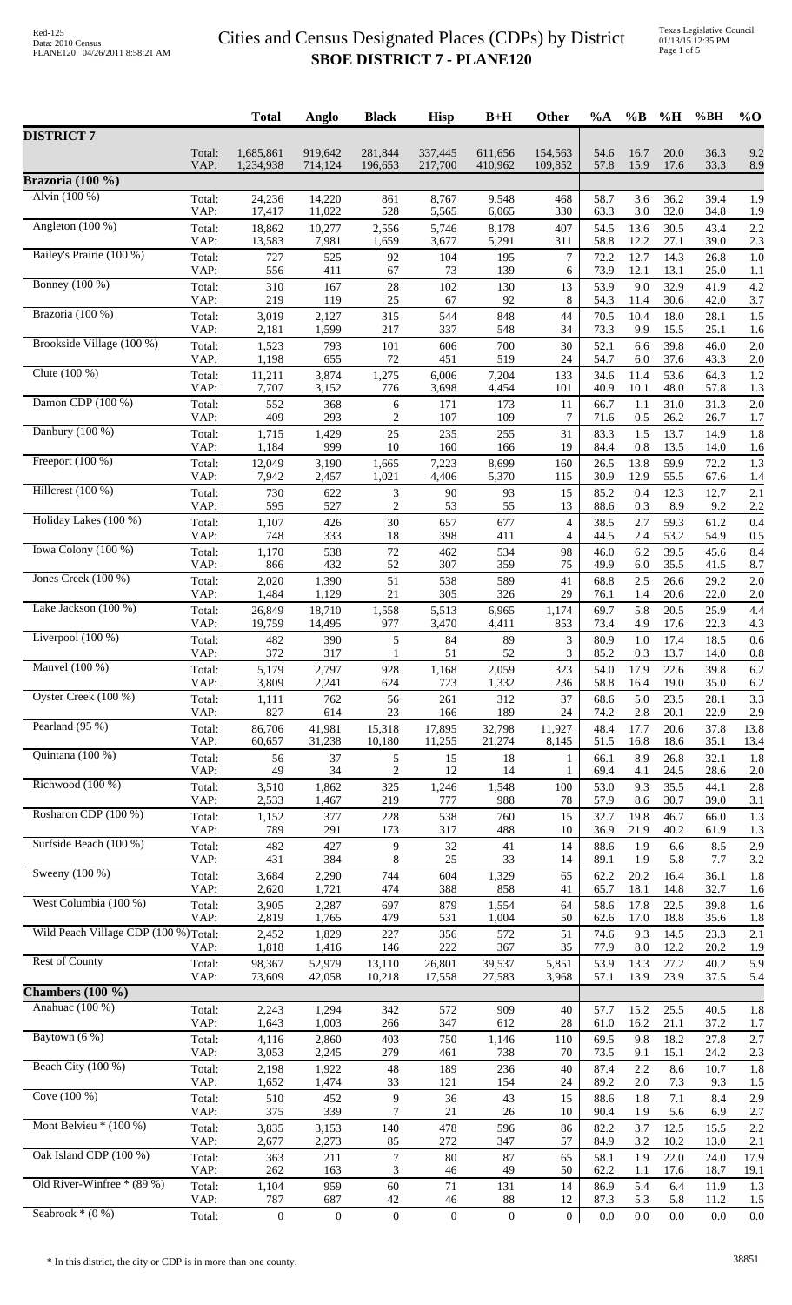|                                       |                | <b>Total</b>     | Anglo            | <b>Black</b>     | <b>Hisp</b>      | $B+H$            | Other          | $\%A$        | $\%$ B       | %H           | %BH          | $\%$ O     |
|---------------------------------------|----------------|------------------|------------------|------------------|------------------|------------------|----------------|--------------|--------------|--------------|--------------|------------|
| <b>DISTRICT 7</b>                     | Total:         | 1,685,861        | 919,642          | 281,844          | 337,445          | 611,656          | 154,563        | 54.6         | 16.7         | 20.0         | 36.3<br>33.3 | 9.2        |
| Brazoria (100 %)                      | VAP:           | 1,234,938        | 714,124          | 196,653          | 217,700          | 410,962          | 109,852        | 57.8         | 15.9         | 17.6         |              | 8.9        |
| Alvin (100 %)                         | Total:         | 24,236           | 14,220           | 861              | 8,767            | 9,548            | 468            | 58.7         | 3.6          | 36.2         | 39.4         | 1.9        |
| Angleton (100 %)                      | VAP:           | 17,417           | 11,022           | 528              | 5,565            | 6,065            | 330            | 63.3         | 3.0          | 32.0         | 34.8         | 1.9        |
|                                       | Total:         | 18,862           | 10,277           | 2,556            | 5,746            | 8,178            | 407            | 54.5         | 13.6         | 30.5         | 43.4         | 2.2        |
|                                       | VAP:           | 13,583           | 7,981            | 1,659            | 3,677            | 5,291            | 311            | 58.8         | 12.2         | 27.1         | 39.0         | 2.3        |
| Bailey's Prairie (100 %)              | Total:         | 727              | 525              | 92               | 104              | 195              | $\tau$         | 72.2         | 12.7         | 14.3         | 26.8         | 1.0        |
|                                       | VAP:           | 556              | 411              | 67               | 73               | 139              | 6              | 73.9         | 12.1         | 13.1         | 25.0         | 1.1        |
| <b>Bonney</b> (100 %)                 | Total:         | 310              | 167              | 28               | 102              | 130              | 13             | 53.9         | 9.0          | 32.9         | 41.9         | 4.2        |
|                                       | VAP:           | 219              | 119              | 25               | 67               | 92               | 8              | 54.3         | 11.4         | 30.6         | 42.0         | 3.7        |
| Brazoria (100 %)                      | Total:         | 3,019            | 2,127            | 315              | 544              | 848              | 44             | 70.5         | 10.4         | 18.0         | 28.1         | 1.5        |
| Brookside Village (100 %)             | VAP:           | 2,181            | 1,599            | 217              | 337              | 548              | 34             | 73.3         | 9.9          | 15.5         | 25.1         | 1.6        |
|                                       | Total:         | 1,523            | 793              | 101              | 606              | 700              | 30             | 52.1         | 6.6          | 39.8         | 46.0         | 2.0        |
| Clute $(100\%)$                       | VAP:           | 1,198            | 655              | 72               | 451              | 519              | 24             | 54.7         | 6.0          | 37.6         | 43.3         | 2.0        |
|                                       | Total:         | 11,211           | 3,874            | 1,275            | 6,006            | 7,204            | 133            | 34.6         | 11.4         | 53.6         | 64.3         | 1.2        |
|                                       | VAP:           | 7,707            | 3,152            | 776              | 3,698            | 4,454            | 101            | 40.9         | 10.1         | 48.0         | 57.8         | 1.3        |
| Damon CDP (100 %)                     | Total:         | 552              | 368              | 6                | 171              | 173              | 11             | 66.7         | 1.1          | 31.0         | 31.3         | 2.0        |
|                                       | VAP:           | 409              | 293              | $\overline{2}$   | 107              | 109              | 7              | 71.6         | 0.5          | 26.2         | 26.7         | 1.7        |
| Danbury (100 %)                       | Total:         | 1,715            | 1,429            | 25               | 235              | 255              | 31             | 83.3         | 1.5          | 13.7         | 14.9         | 1.8        |
|                                       | VAP:           | 1,184            | 999              | 10               | 160              | 166              | 19             | 84.4         | 0.8          | 13.5         | 14.0         | 1.6        |
| Freeport $(100\%)$                    | Total:         | 12,049           | 3,190            | 1,665            | 7,223            | 8,699            | 160            | 26.5         | 13.8         | 59.9         | 72.2         | 1.3        |
| Hillcrest (100 %)                     | VAP:           | 7,942            | 2,457            | 1,021            | 4,406            | 5,370            | 115            | 30.9         | 12.9         | 55.5         | 67.6         | 1.4        |
|                                       | Total:         | 730              | 622              | 3                | 90               | 93               | 15             | 85.2         | 0.4          | 12.3         | 12.7         | 2.1        |
| Holiday Lakes (100 %)                 | VAP:           | 595              | 527              | $\mathbf{2}$     | 53               | 55               | 13             | 88.6         | 0.3          | 8.9          | 9.2          | 2.2        |
|                                       | Total:         | 1,107            | 426              | 30               | 657              | 677              | $\overline{4}$ | 38.5         | 2.7          | 59.3         | 61.2         | 0.4        |
|                                       | VAP:           | 748              | 333              | 18               | 398              | 411              | $\overline{4}$ | 44.5         | 2.4          | 53.2         | 54.9         | 0.5        |
| Iowa Colony (100 %)                   | Total:         | 1,170            | 538              | 72               | 462              | 534              | 98             | 46.0         | 6.2          | 39.5         | 45.6         | 8.4        |
|                                       | VAP:           | 866              | 432              | 52               | 307              | 359              | 75             | 49.9         | 6.0          | 35.5         | 41.5         | 8.7        |
| Jones Creek (100 %)                   | Total:         | 2,020            | 1,390            | 51               | 538              | 589              | 41             | 68.8         | 2.5          | 26.6         | 29.2         | 2.0        |
|                                       | VAP:           | 1,484            | 1,129            | 21               | 305              | 326              | 29             | 76.1         | 1.4          | 20.6         | 22.0         | 2.0        |
| Lake Jackson $(100\%)$                | Total:         | 26,849           | 18,710           | 1,558            | 5,513            | 6,965            | 1,174          | 69.7         | 5.8          | 20.5         | 25.9         | 4.4        |
| Liverpool $(100\%)$                   | VAP:           | 19,759           | 14,495           | 977              | 3,470            | 4,411            | 853            | 73.4         | 4.9          | 17.6         | 22.3         | 4.3        |
|                                       | Total:         | 482              | 390              | $\mathfrak s$    | 84               | 89               | 3              | 80.9         | 1.0          | 17.4         | 18.5         | 0.6        |
| Manvel (100 %)                        | VAP:           | 372              | 317              | -1               | 51               | 52               | 3              | 85.2         | 0.3          | 13.7         | 14.0         | 0.8        |
|                                       | Total:         | 5,179            | 2,797            | 928              | 1,168            | 2,059            | 323            | 54.0         | 17.9         | 22.6         | 39.8         | 6.2        |
|                                       | VAP:           | 3.809            | 2.241            | 624              | 723              | 1.332            | 236            | 58.8         | 16.4         | 19.0         | 35.0         | 6.2        |
| Oyster Creek (100 %)                  | Total:         | 1,111            | 762              | 56               | 261              | 312              | 37             | 68.6         | 5.0          | 23.5         | 28.1         | 3.3        |
|                                       | VAP:           | 827              | 614              | 23               | 166              | 189              | 24             | 74.2         | 2.8          | 20.1         | 22.9         | 2.9        |
| Pearland (95 %)                       | Total:         | 86,706           | 41,981           | 15,318           | 17,895           | 32,798           | 11,927         | 48.4         | 17.7         | 20.6         | 37.8         | 13.8       |
|                                       | VAP:           | 60,657           | 31,238           | 10,180           | 11,255           | 21,274           | 8,145          | 51.5         | 16.8         | 18.6         | 35.1         | 13.4       |
| Quintana (100 %)                      | Total:         | 56               | 37               | 5                | 15               | 18               | 1              | 66.1         | 8.9          | 26.8         | 32.1         | 1.8        |
| Richwood (100 %)                      | VAP:           | 49               | 34               | $\overline{2}$   | 12               | 14               | 1              | 69.4         | 4.1          | 24.5         | 28.6         | 2.0        |
|                                       | Total:         | 3,510            | 1,862            | 325              | 1,246            | 1,548            | 100            | 53.0         | 9.3          | 35.5         | 44.1         | 2.8        |
| Rosharon CDP (100 %)                  | VAP:           | 2,533            | 1,467            | 219              | 777              | 988              | 78             | 57.9         | 8.6          | 30.7         | 39.0         | 3.1        |
|                                       | Total:         | 1,152            | 377              | 228              | 538              | 760              | 15             | 32.7         | 19.8         | 46.7         | 66.0         | 1.3        |
|                                       | VAP:           | 789              | 291              | 173              | 317              | 488              | 10             | 36.9         | 21.9         | 40.2         | 61.9         | 1.3        |
| Surfside Beach (100 %)                | Total:         | 482              | 427              | 9                | 32               | 41               | 14             | 88.6         | 1.9          | 6.6          | 8.5          | 2.9        |
|                                       | VAP:           | 431              | 384              | 8                | 25               | 33               | 14             | 89.1         | 1.9          | 5.8          | 7.7          | 3.2        |
| Sweeny (100 %)                        | Total:<br>VAP: | 3,684<br>2,620   | 2,290<br>1,721   | 744<br>474       | 604<br>388       | 1,329<br>858     | 65<br>41       | 62.2<br>65.7 | 20.2<br>18.1 | 16.4<br>14.8 | 36.1<br>32.7 | 1.8        |
| West Columbia (100 %)                 | Total:         | 3,905            | 2,287            | 697              | 879              | 1,554            | 64             | 58.6         | 17.8         | 22.5         | 39.8         | 1.6<br>1.6 |
| Wild Peach Village CDP (100 %) Total: | VAP:           | 2,819<br>2,452   | 1,765<br>1,829   | 479<br>227       | 531<br>356       | 1,004<br>572     | 50<br>51       | 62.6<br>74.6 | 17.0<br>9.3  | 18.8<br>14.5 | 35.6<br>23.3 | 1.8<br>2.1 |
|                                       | VAP:           | 1,818            | 1,416            | 146              | 222              | 367              | 35             | 77.9         | 8.0          | 12.2         | 20.2         | 1.9        |
| <b>Rest of County</b>                 | Total:         | 98,367           | 52,979           | 13,110           | 26,801           | 39,537           | 5,851          | 53.9         | 13.3         | 27.2         | 40.2         | 5.9        |
|                                       | VAP:           | 73,609           | 42,058           | 10,218           | 17,558           | 27,583           | 3,968          | 57.1         | 13.9         | 23.9         | 37.5         | 5.4        |
| Chambers $(100\%)$                    |                |                  |                  |                  |                  |                  |                |              |              |              |              |            |
| Anahuac (100 %)                       | Total:         | 2,243            | 1,294            | 342              | 572              | 909              | 40             | 57.7         | 15.2         | 25.5         | 40.5         | 1.8        |
|                                       | VAP:           | 1,643            | 1,003            | 266              | 347              | 612              | 28             | 61.0         | 16.2         | 21.1         | 37.2         | 1.7        |
| Baytown $(6%)$                        | Total:         | 4,116            | 2,860            | 403              | 750              | 1,146            | 110            | 69.5         | 9.8          | 18.2         | 27.8         | 2.7        |
| Beach City (100 %)                    | VAP:           | 3,053            | 2,245            | 279              | 461              | 738              | 70             | 73.5         | 9.1          | 15.1         | 24.2         | 2.3        |
|                                       | Total:         | 2,198            | 1,922            | 48               | 189              | 236              | 40             | 87.4         | 2.2          | 8.6          | 10.7         | 1.8        |
| Cove (100 %)                          | VAP:           | 1,652            | 1,474            | 33               | 121              | 154              | 24             | 89.2         | 2.0          | 7.3          | 9.3          | 1.5        |
|                                       | Total:         | 510              | 452              | 9                | 36               | 43               | 15             | 88.6         | 1.8          | $7.1\,$      | 8.4          | 2.9        |
|                                       | VAP:           | 375              | 339              | 7                | 21               | 26               | 10             | 90.4         | 1.9          | 5.6          | 6.9          | 2.7        |
| Mont Belvieu $*(100\%)$               | Total:         | 3,835            | 3,153            | 140              | 478              | 596              | 86             | 82.2         | 3.7          | 12.5         | 15.5         | 2.2        |
|                                       | VAP:           | 2,677            | 2,273            | 85               | 272              | 347              | 57             | 84.9         | 3.2          | 10.2         | 13.0         | 2.1        |
| Oak Island CDP (100 %)                | Total:         | 363              | 211              | $\boldsymbol{7}$ | 80               | 87               | 65             | 58.1         | 1.9          | 22.0         | 24.0         | 17.9       |
| Old River-Winfree * (89 %)            | VAP:           | 262              | 163              | 3                | 46               | 49               | 50             | 62.2         | 1.1          | 17.6         | 18.7         | 19.1       |
|                                       | Total:         | 1,104            | 959              | 60               | 71               | 131              | 14             | 86.9         | 5.4          | 6.4          | 11.9         | 1.3        |
| Seabrook $*(0\%)$                     | VAP:           | 787              | 687              | 42               | $46\,$           | 88               | 12             | 87.3         | 5.3          | 5.8          | 11.2         | 1.5        |
|                                       | Total:         | $\boldsymbol{0}$ | $\boldsymbol{0}$ | $\boldsymbol{0}$ | $\boldsymbol{0}$ | $\boldsymbol{0}$ | $\mathbf{0}$   | 0.0          | 0.0          | $0.0\,$      | 0.0          | 0.0        |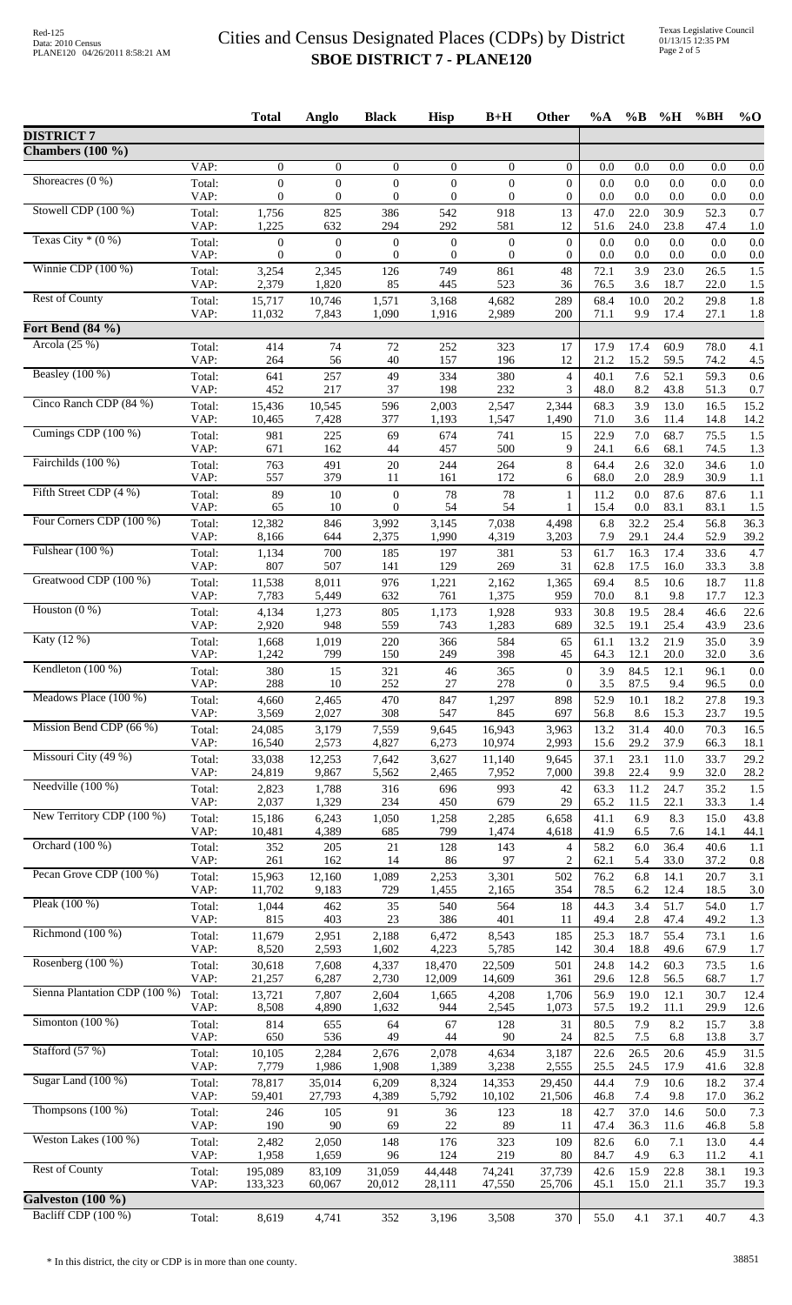|                               |                | <b>Total</b>                       | Anglo                          | <b>Black</b>             | <b>Hisp</b>              | $B+H$                          | <b>Other</b>                     | $\%A$        | $\%$ B       | %H           | %BH          | $\%$ O       |
|-------------------------------|----------------|------------------------------------|--------------------------------|--------------------------|--------------------------|--------------------------------|----------------------------------|--------------|--------------|--------------|--------------|--------------|
| <b>DISTRICT 7</b>             |                |                                    |                                |                          |                          |                                |                                  |              |              |              |              |              |
| Chambers $(100 \%)$           |                |                                    |                                |                          |                          |                                |                                  |              |              |              |              |              |
| Shoreacres $(0\%)$            | VAP:           | $\overline{0}$<br>$\boldsymbol{0}$ | $\mathbf{0}$<br>$\overline{0}$ | $\theta$<br>$\mathbf{0}$ | $\theta$<br>$\mathbf{0}$ | $\overline{0}$<br>$\mathbf{0}$ | $\overline{0}$<br>$\overline{0}$ | 0.0<br>0.0   | 0.0<br>0.0   | 0.0<br>0.0   | 0.0<br>0.0   | 0.0<br>0.0   |
|                               | Total:<br>VAP: | 0                                  | $\overline{0}$                 | $\mathbf{0}$             | $\overline{0}$           | $\mathbf{0}$                   | $\overline{0}$                   | 0.0          | 0.0          | 0.0          | 0.0          | 0.0          |
| Stowell CDP (100 %)           | Total:         | 1,756                              | 825                            | 386                      | 542                      | 918                            | 13                               | 47.0         | 22.0         | 30.9         | 52.3         | 0.7          |
| Texas City $*(0\%)$           | VAP:<br>Total: | 1,225<br>$\boldsymbol{0}$          | 632<br>$\boldsymbol{0}$        | 294<br>$\boldsymbol{0}$  | 292<br>$\boldsymbol{0}$  | 581<br>$\boldsymbol{0}$        | 12<br>$\theta$                   | 51.6<br>0.0  | 24.0<br>0.0  | 23.8<br>0.0  | 47.4<br>0.0  | 1.0<br>0.0   |
|                               | VAP:           | $\mathbf{0}$                       | $\overline{0}$                 | $\boldsymbol{0}$         | $\boldsymbol{0}$         | $\boldsymbol{0}$               | $\boldsymbol{0}$                 | 0.0          | 0.0          | 0.0          | 0.0          | 0.0          |
| Winnie CDP (100 %)            | Total:         | 3,254                              | 2,345                          | 126                      | 749                      | 861                            | 48                               | 72.1         | 3.9          | 23.0         | 26.5         | 1.5          |
| <b>Rest of County</b>         | VAP:<br>Total: | 2,379<br>15,717                    | 1,820<br>10,746                | 85<br>1,571              | 445<br>3,168             | 523<br>4,682                   | 36<br>289                        | 76.5<br>68.4 | 3.6<br>10.0  | 18.7<br>20.2 | 22.0<br>29.8 | 1.5<br>1.8   |
|                               | VAP:           | 11,032                             | 7,843                          | 1,090                    | 1,916                    | 2,989                          | 200                              | 71.1         | 9.9          | 17.4         | 27.1         | 1.8          |
| Fort Bend (84 %)              |                |                                    |                                |                          |                          |                                |                                  |              |              |              |              |              |
| Arcola $(25\%)$               | Total:<br>VAP: | 414<br>264                         | 74<br>56                       | 72<br>40                 | 252<br>157               | 323<br>196                     | 17<br>12                         | 17.9<br>21.2 | 17.4<br>15.2 | 60.9<br>59.5 | 78.0<br>74.2 | 4.1<br>4.5   |
| Beasley (100 %)               | Total:         | 641                                | 257                            | 49                       | 334                      | 380                            | $\overline{4}$                   | 40.1         | 7.6          | 52.1         | 59.3         | 0.6          |
|                               | VAP:           | 452                                | 217                            | 37                       | 198                      | 232                            | 3                                | 48.0         | 8.2          | 43.8         | 51.3         | 0.7          |
| Cinco Ranch CDP (84 %)        | Total:<br>VAP: | 15,436<br>10,465                   | 10,545<br>7,428                | 596<br>377               | 2,003<br>1,193           | 2,547<br>1,547                 | 2,344<br>1,490                   | 68.3<br>71.0 | 3.9<br>3.6   | 13.0<br>11.4 | 16.5<br>14.8 | 15.2<br>14.2 |
| Cumings CDP (100 %)           | Total:         | 981                                | 225                            | 69                       | 674                      | 741                            | 15                               | 22.9         | 7.0          | 68.7         | 75.5         | 1.5          |
| Fairchilds (100 %)            | VAP:           | 671                                | 162                            | 44                       | 457                      | 500                            | 9                                | 24.1         | 6.6          | 68.1         | 74.5         | 1.3          |
|                               | Total:<br>VAP: | 763<br>557                         | 491<br>379                     | 20<br>11                 | 244<br>161               | 264<br>172                     | 8<br>6                           | 64.4<br>68.0 | 2.6<br>2.0   | 32.0<br>28.9 | 34.6<br>30.9 | 1.0<br>1.1   |
| Fifth Street CDP (4 %)        | Total:         | 89                                 | 10                             | $\boldsymbol{0}$         | 78                       | 78                             | 1                                | 11.2         | 0.0          | 87.6         | 87.6         | 1.1          |
| Four Corners CDP (100 %)      | VAP:           | 65                                 | 10                             | $\mathbf{0}$             | 54                       | 54                             | 1                                | 15.4         | 0.0          | 83.1         | 83.1         | 1.5          |
|                               | Total:<br>VAP: | 12,382<br>8,166                    | 846<br>644                     | 3,992<br>2,375           | 3,145<br>1,990           | 7,038<br>4,319                 | 4,498<br>3,203                   | 6.8<br>7.9   | 32.2<br>29.1 | 25.4<br>24.4 | 56.8<br>52.9 | 36.3<br>39.2 |
| Fulshear $(100\%)$            | Total:         | 1,134                              | 700                            | 185                      | 197                      | 381                            | 53                               | 61.7         | 16.3         | 17.4         | 33.6         | 4.7          |
| Greatwood CDP (100 %)         | VAP:           | 807                                | 507                            | 141                      | 129                      | 269                            | 31                               | 62.8         | 17.5         | 16.0         | 33.3         | 3.8          |
|                               | Total:<br>VAP: | 11,538<br>7,783                    | 8,011<br>5,449                 | 976<br>632               | 1,221<br>761             | 2,162<br>1,375                 | 1,365<br>959                     | 69.4<br>70.0 | 8.5<br>8.1   | 10.6<br>9.8  | 18.7<br>17.7 | 11.8<br>12.3 |
| Houston $(0\%)$               | Total:         | 4,134                              | 1,273                          | 805                      | 1,173                    | 1,928                          | 933                              | 30.8         | 19.5         | 28.4         | 46.6         | 22.6         |
| Katy (12 %)                   | VAP:           | 2,920                              | 948                            | 559                      | 743                      | 1,283                          | 689                              | 32.5         | 19.1         | 25.4         | 43.9         | 23.6         |
|                               | Total:<br>VAP: | 1,668<br>1,242                     | 1,019<br>799                   | 220<br>150               | 366<br>249               | 584<br>398                     | 65<br>45                         | 61.1<br>64.3 | 13.2<br>12.1 | 21.9<br>20.0 | 35.0<br>32.0 | 3.9<br>3.6   |
| Kendleton (100 %)             | Total:         | 380                                | 15                             | 321                      | 46                       | 365                            | $\mathbf{0}$                     | 3.9          | 84.5         | 12.1         | 96.1         | 0.0          |
| Meadows Place (100 %)         | VAP:<br>Total: | 288<br>4,660                       | 10<br>2,465                    | 252<br>470               | $27\,$<br>847            | 278<br>1,297                   | $\boldsymbol{0}$<br>898          | 3.5<br>52.9  | 87.5<br>10.1 | 9.4<br>18.2  | 96.5<br>27.8 | 0.0<br>19.3  |
|                               | VAP:           | 3,569                              | 2,027                          | 308                      | 547                      | 845                            | 697                              | 56.8         | 8.6          | 15.3         | 23.7         | 19.5         |
| Mission Bend CDP (66 %)       | Total:         | 24,085                             | 3,179                          | 7,559                    | 9,645                    | 16,943                         | 3,963                            | 13.2         | 31.4         | 40.0         | 70.3         | 16.5         |
| Missouri City (49 %)          | VAP:<br>Total: | 16,540<br>33,038                   | 2,573<br>12,253                | 4,827<br>7,642           | 6,273<br>3,627           | 10.974<br>11,140               | 2,993<br>9.645                   | 15.6<br>37.1 | 29.2<br>23.1 | 37.9<br>11.0 | 66.3<br>33.7 | 18.1<br>29.2 |
|                               | VAP:           | 24,819                             | 9,867                          | 5,562                    | 2,465                    | 7,952                          | 7,000                            | 39.8         | 22.4         | 9.9          | 32.0         | 28.2         |
| Needville (100 %)             | Total:         | 2,823                              | 1,788                          | 316                      | 696                      | 993                            | 42                               | 63.3         | 11.2         | 24.7         | 35.2         | 1.5          |
| New Territory CDP (100 %)     | VAP:<br>Total: | 2,037<br>15,186                    | 1,329<br>6,243                 | 234<br>1,050             | 450<br>1,258             | 679<br>2,285                   | 29<br>6,658                      | 65.2<br>41.1 | 11.5<br>6.9  | 22.1<br>8.3  | 33.3<br>15.0 | 1.4<br>43.8  |
|                               | VAP:           | 10,481                             | 4,389                          | 685                      | 799                      | 1,474                          | 4,618                            | 41.9         | 6.5          | 7.6          | 14.1         | 44.1         |
| Orchard (100 %)               | Total:<br>VAP: | 352<br>261                         | 205<br>162                     | 21<br>14                 | 128<br>86                | 143<br>97                      | $\overline{4}$<br>$\overline{c}$ | 58.2<br>62.1 | 6.0<br>5.4   | 36.4<br>33.0 | 40.6<br>37.2 | 1.1<br>0.8   |
| Pecan Grove CDP (100 %)       | Total:         | 15,963                             | 12,160                         | 1,089                    | 2,253                    | 3,301                          | 502                              | 76.2         | 6.8          | 14.1         | 20.7         | 3.1          |
|                               | VAP:           | 11,702                             | 9,183                          | 729                      | 1,455                    | 2,165                          | 354                              | 78.5         | 6.2          | 12.4         | 18.5         | 3.0          |
| Pleak $(100\%)$               | Total:<br>VAP: | 1,044<br>815                       | 462<br>403                     | 35<br>23                 | 540<br>386               | 564<br>401                     | 18<br>11                         | 44.3<br>49.4 | 3.4<br>2.8   | 51.7<br>47.4 | 54.0<br>49.2 | 1.7<br>1.3   |
| Richmond (100 %)              | Total:         | 11,679                             | 2,951                          | 2,188                    | 6,472                    | 8,543                          | 185                              | 25.3         | 18.7         | 55.4         | 73.1         | 1.6          |
|                               | VAP:           | 8,520                              | 2,593                          | 1,602                    | 4,223                    | 5,785                          | 142                              | 30.4         | 18.8         | 49.6         | 67.9         | 1.7          |
| Rosenberg (100 %)             | Total:<br>VAP: | 30,618<br>21,257                   | 7,608<br>6,287                 | 4,337<br>2,730           | 18,470<br>12,009         | 22,509<br>14,609               | 501<br>361                       | 24.8<br>29.6 | 14.2<br>12.8 | 60.3<br>56.5 | 73.5<br>68.7 | 1.6<br>1.7   |
| Sienna Plantation CDP (100 %) | Total:         | 13,721                             | 7,807                          | 2,604                    | 1,665                    | 4,208                          | 1,706                            | 56.9         | 19.0         | 12.1         | 30.7         | 12.4         |
|                               | VAP:           | 8,508                              | 4,890                          | 1,632                    | 944                      | 2,545                          | 1,073                            | 57.5         | 19.2         | 11.1         | 29.9         | 12.6         |
| Simonton $(100\%)$            | Total:<br>VAP: | 814<br>650                         | 655<br>536                     | 64<br>49                 | 67<br>44                 | 128<br>90                      | 31<br>24                         | 80.5<br>82.5 | 7.9<br>7.5   | 8.2<br>6.8   | 15.7<br>13.8 | 3.8<br>3.7   |
| Stafford (57 %)               | Total:         | 10,105                             | 2,284                          | 2,676                    | 2,078                    | 4,634                          | 3,187                            | 22.6         | 26.5         | 20.6         | 45.9         | 31.5         |
| Sugar Land (100 %)            | VAP:           | 7,779                              | 1,986                          | 1,908                    | 1,389                    | 3,238                          | 2,555                            | 25.5         | 24.5         | 17.9         | 41.6         | 32.8         |
|                               | Total:<br>VAP: | 78,817<br>59,401                   | 35,014<br>27,793               | 6,209<br>4,389           | 8,324<br>5,792           | 14,353<br>10,102               | 29,450<br>21,506                 | 44.4<br>46.8 | 7.9<br>7.4   | 10.6<br>9.8  | 18.2<br>17.0 | 37.4<br>36.2 |
| Thompsons $(100\%)$           | Total:         | 246                                | 105                            | 91                       | 36                       | 123                            | 18                               | 42.7         | 37.0         | 14.6         | 50.0         | 7.3          |
| Weston Lakes $(100\%)$        | VAP:           | 190                                | 90                             | 69                       | 22                       | 89                             | 11                               | 47.4         | 36.3         | 11.6         | 46.8         | 5.8          |
|                               | Total:<br>VAP: | 2,482<br>1,958                     | 2,050<br>1,659                 | 148<br>96                | 176<br>124               | 323<br>219                     | 109<br>80                        | 82.6<br>84.7 | 6.0<br>4.9   | 7.1<br>6.3   | 13.0<br>11.2 | 4.4<br>4.1   |
| <b>Rest of County</b>         | Total:         | 195,089                            | 83,109                         | 31,059                   | 44,448                   | 74,241                         | 37,739                           | 42.6         | 15.9         | 22.8         | 38.1         | 19.3         |
| Galveston $(100 \%)$          | VAP:           | 133,323                            | 60,067                         | 20,012                   | 28,111                   | 47,550                         | 25,706                           | 45.1         | 15.0         | 21.1         | 35.7         | 19.3         |
| Bacliff CDP (100 %)           | Total:         | 8,619                              | 4,741                          | 352                      | 3,196                    | 3,508                          | 370                              | 55.0         | 4.1          | 37.1         | 40.7         | 4.3          |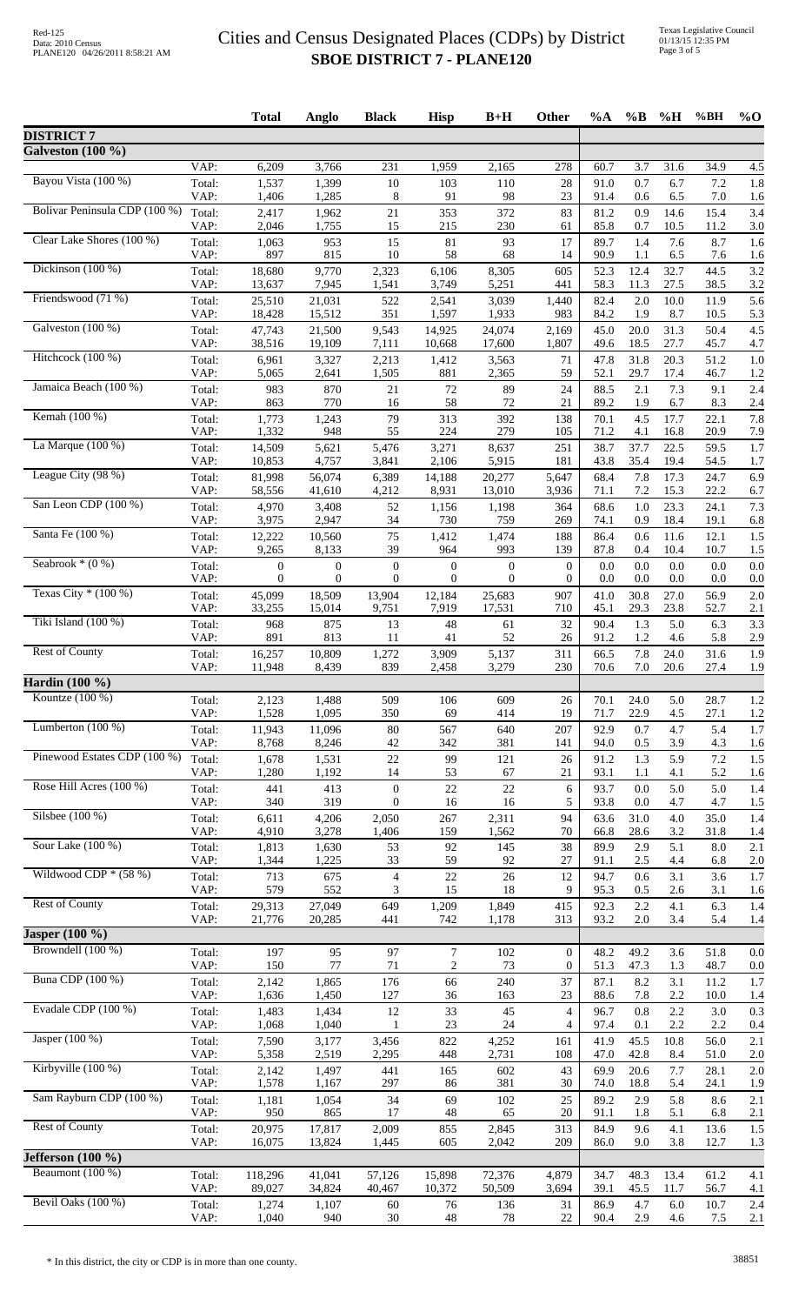|                               |                | <b>Total</b>           | Anglo                    | <b>Black</b>           | <b>Hisp</b>            | $B+H$                  | Other                 | %A           | $\%$ B         | $\%$ H         | %BH          | $%$ <sup>O</sup> |
|-------------------------------|----------------|------------------------|--------------------------|------------------------|------------------------|------------------------|-----------------------|--------------|----------------|----------------|--------------|------------------|
| <b>DISTRICT 7</b>             |                |                        |                          |                        |                        |                        |                       |              |                |                |              |                  |
| Galveston (100 %)             |                |                        |                          |                        |                        |                        |                       |              |                |                |              |                  |
| Bayou Vista (100 %)           | VAP:<br>Total: | 6,209<br>1,537         | 3,766<br>1,399           | 231<br>$10\,$          | 1,959<br>103           | 2,165<br>110           | 278<br>28             | 60.7<br>91.0 | 3.7<br>0.7     | 31.6<br>6.7    | 34.9<br>7.2  | 4.5<br>1.8       |
|                               | VAP:           | 1,406                  | 1,285                    | 8                      | 91                     | 98                     | 23                    | 91.4         | 0.6            | 6.5            | 7.0          | 1.6              |
| Bolivar Peninsula CDP (100 %) | Total:<br>VAP: | 2,417<br>2,046         | 1,962<br>1,755           | 21<br>15               | 353<br>215             | 372<br>230             | 83<br>61              | 81.2<br>85.8 | 0.9<br>0.7     | 14.6<br>10.5   | 15.4<br>11.2 | 3.4<br>3.0       |
| Clear Lake Shores (100 %)     | Total:         | 1,063                  | 953                      | 15                     | 81                     | 93                     | 17                    | 89.7         | 1.4            | 7.6            | 8.7          | 1.6              |
| Dickinson (100 %)             | VAP:<br>Total: | 897<br>18,680          | 815<br>9,770             | 10<br>2,323            | 58<br>6,106            | 68<br>8,305            | 14<br>605             | 90.9<br>52.3 | 1.1<br>12.4    | 6.5<br>32.7    | 7.6<br>44.5  | 1.6<br>3.2       |
|                               | VAP:           | 13,637                 | 7,945                    | 1,541                  | 3,749                  | 5,251                  | 441                   | 58.3         | 11.3           | 27.5           | 38.5         | 3.2              |
| Friendswood (71 %)            | Total:<br>VAP: | 25,510<br>18,428       | 21,031<br>15,512         | 522<br>351             | 2,541<br>1,597         | 3,039<br>1,933         | 1,440<br>983          | 82.4<br>84.2 | 2.0<br>1.9     | 10.0<br>8.7    | 11.9<br>10.5 | 5.6<br>5.3       |
| Galveston (100 %)             | Total:         | 47,743                 | 21,500                   | 9,543                  | 14,925                 | 24,074                 | 2,169                 | 45.0         | 20.0           | 31.3           | 50.4         | 4.5              |
| Hitchcock (100 %)             | VAP:<br>Total: | 38,516<br>6,961        | 19,109<br>3,327          | 7,111<br>2,213         | 10,668<br>1,412        | 17,600<br>3,563        | 1,807<br>71           | 49.6<br>47.8 | 18.5<br>31.8   | 27.7<br>20.3   | 45.7<br>51.2 | 4.7<br>1.0       |
|                               | VAP:           | 5,065                  | 2,641                    | 1,505                  | 881                    | 2,365                  | 59                    | 52.1         | 29.7           | 17.4           | 46.7         | 1.2              |
| Jamaica Beach (100 %)         | Total:<br>VAP: | 983<br>863             | 870<br>770               | 21<br>16               | 72<br>58               | 89<br>72               | 24<br>21              | 88.5<br>89.2 | 2.1<br>1.9     | 7.3<br>6.7     | 9.1<br>8.3   | 2.4<br>2.4       |
| Kemah (100 %)                 | Total:         | 1,773                  | 1,243                    | 79                     | 313                    | 392                    | 138                   | 70.1         | 4.5            | 17.7           | 22.1         | 7.8              |
| La Marque $(100\%)$           | VAP:           | 1,332                  | 948                      | 55                     | 224                    | 279                    | 105                   | 71.2         | 4.1            | 16.8           | 20.9         | 7.9              |
|                               | Total:<br>VAP: | 14,509<br>10,853       | 5,621<br>4,757           | 5,476<br>3,841         | 3,271<br>2,106         | 8,637<br>5,915         | 251<br>181            | 38.7<br>43.8 | 37.7<br>35.4   | 22.5<br>19.4   | 59.5<br>54.5 | 1.7<br>1.7       |
| League City (98 %)            | Total:         | 81,998                 | 56,074                   | 6,389                  | 14,188                 | 20,277                 | 5,647                 | 68.4         | 7.8            | 17.3           | 24.7         | 6.9              |
| San Leon CDP (100 %)          | VAP:<br>Total: | 58,556<br>4,970        | 41,610<br>3,408          | 4,212<br>52            | 8,931<br>1,156         | 13,010<br>1,198        | 3,936<br>364          | 71.1<br>68.6 | 7.2<br>1.0     | 15.3<br>23.3   | 22.2<br>24.1 | 6.7<br>7.3       |
|                               | VAP:           | 3,975                  | 2,947                    | 34                     | 730                    | 759                    | 269                   | 74.1         | 0.9            | 18.4           | 19.1         | 6.8              |
| Santa Fe (100 %)              | Total:<br>VAP: | 12,222<br>9,265        | 10,560<br>8,133          | 75<br>39               | 1,412<br>964           | 1,474<br>993           | 188<br>139            | 86.4<br>87.8 | 0.6<br>0.4     | 11.6<br>10.4   | 12.1<br>10.7 | 1.5<br>1.5       |
| Seabrook $*(0\%)$             | Total:         | $\boldsymbol{0}$       | $\boldsymbol{0}$         | $\boldsymbol{0}$       | $\boldsymbol{0}$       | $\mathbf{0}$           | $\overline{0}$        | 0.0          | 0.0            | 0.0            | 0.0          | 0.0              |
| Texas City $*(100\%)$         | VAP:<br>Total: | $\mathbf{0}$<br>45,099 | $\overline{0}$<br>18,509 | $\mathbf{0}$<br>13,904 | $\mathbf{0}$<br>12,184 | $\mathbf{0}$<br>25,683 | $\overline{0}$<br>907 | 0.0<br>41.0  | 0.0<br>30.8    | 0.0<br>27.0    | 0.0<br>56.9  | 0.0<br>2.0       |
|                               | VAP:           | 33,255                 | 15,014                   | 9,751                  | 7,919                  | 17,531                 | 710                   | 45.1         | 29.3           | 23.8           | 52.7         | 2.1              |
| Tiki Island (100 %)           | Total:<br>VAP: | 968<br>891             | 875<br>813               | 13<br>11               | 48<br>41               | 61<br>52               | 32<br>26              | 90.4<br>91.2 | 1.3<br>1.2     | 5.0<br>4.6     | 6.3<br>5.8   | 3.3<br>2.9       |
| <b>Rest of County</b>         | Total:         | 16,257                 | 10,809                   | 1,272                  | 3,909                  | 5,137                  | 311                   | 66.5         | 7.8            | 24.0           | 31.6         | 1.9              |
| Hardin (100 %)                | VAP:           | 11,948                 | 8,439                    | 839                    | 2,458                  | 3,279                  | 230                   | 70.6         | 7.0            | 20.6           | 27.4         | 1.9              |
| Kountze $(100\%)$             | Total:         | 2,123                  | 1,488                    | 509                    | 106                    | 609                    | 26                    | 70.1         | 24.0           | 5.0            | 28.7         | 1.2              |
|                               | VAP:           | 1,528                  | 1,095                    | 350                    | 69                     | 414                    | 19                    | 71.7         | 22.9           | 4.5            | 27.1         | 1.2              |
| Lumberton $(100\%)$           | Total:<br>VAP: | 11,943<br>8,768        | 11,096<br>8,246          | $80\,$<br>42           | 567<br>342             | 640<br>381             | 207<br>141            | 92.9<br>94.0 | 0.7<br>0.5     | 4.7<br>3.9     | 5.4<br>4.3   | 1.7<br>1.6       |
| Pinewood Estates CDP (100 %)  | Total:         | 1,678                  | 1,531                    | $22\,$                 | 99                     | 121                    | 26                    | 91.2         | 1.3            | 5.9            | 7.2          | 1.5              |
| Rose Hill Acres (100 %)       | VAP:<br>Total: | 1,280<br>441           | 1,192<br>413             | 14<br>$\boldsymbol{0}$ | 53<br>22               | 67<br>22               | 21<br>6               | 93.1<br>93.7 | 1.1<br>0.0     | 4.1<br>5.0     | 5.2<br>5.0   | 1.6<br>1.4       |
|                               | VAP:           | 340                    | 319                      | $\boldsymbol{0}$       | 16                     | 16                     | 5                     | 93.8         | 0.0            | 4.7            | 4.7          | 1.5              |
| Silsbee $(100\%)$             | Total:<br>VAP: | 6,611<br>4,910         | 4,206<br>3,278           | 2,050<br>1,406         | 267<br>159             | 2,311<br>1,562         | 94<br>70              | 63.6<br>66.8 | 31.0<br>28.6   | 4.0<br>3.2     | 35.0<br>31.8 | 1.4<br>1.4       |
| Sour Lake (100 %)             | Total:         | 1,813                  | 1,630                    | 53                     | 92                     | 145                    | 38                    | 89.9         | 2.9            | 5.1            | 8.0          | 2.1              |
| Wildwood CDP $*(58%)$         | VAP:           | 1,344                  | 1,225<br>675             | 33                     | 59<br>$22\,$           | 92<br>26               | 27<br>12              | 91.1<br>94.7 | 2.5<br>0.6     | 4.4<br>3.1     | 6.8          | 2.0<br>1.7       |
|                               | Total:<br>VAP: | 713<br>579             | 552                      | $\overline{4}$<br>3    | 15                     | 18                     | 9                     | 95.3         | 0.5            | 2.6            | 3.6<br>3.1   | 1.6              |
| <b>Rest of County</b>         | Total:<br>VAP: | 29,313<br>21,776       | 27,049<br>20,285         | 649<br>441             | 1,209<br>742           | 1,849<br>1,178         | 415<br>313            | 92.3<br>93.2 | $2.2\,$<br>2.0 | 4.1<br>3.4     | 6.3<br>5.4   | 1.4<br>1.4       |
| Jasper $(100\%)$              |                |                        |                          |                        |                        |                        |                       |              |                |                |              |                  |
| Browndell (100 %)             | Total:         | 197                    | 95                       | 97                     | $\boldsymbol{7}$       | 102                    | $\overline{0}$        | 48.2         | 49.2           | 3.6            | 51.8         | 0.0              |
| <b>Buna CDP</b> (100 %)       | VAP:<br>Total: | 150<br>2,142           | $77\,$<br>1,865          | 71<br>176              | $\sqrt{2}$<br>66       | 73<br>240              | $\overline{0}$<br>37  | 51.3<br>87.1 | 47.3<br>8.2    | 1.3<br>3.1     | 48.7<br>11.2 | 0.0<br>1.7       |
|                               | VAP:           | 1,636                  | 1,450                    | 127                    | 36                     | 163                    | 23                    | 88.6         | 7.8            | 2.2            | 10.0         | 1.4              |
| Evadale CDP (100 %)           | Total:<br>VAP: | 1,483<br>1,068         | 1,434<br>1,040           | 12<br>$\mathbf{1}$     | 33<br>23               | 45<br>24               | $\overline{4}$<br>4   | 96.7<br>97.4 | 0.8<br>0.1     | 2.2<br>2.2     | 3.0<br>2.2   | 0.3<br>0.4       |
| Jasper (100 %)                | Total:         | 7,590                  | 3,177                    | 3,456                  | 822                    | 4,252                  | 161                   | 41.9         | 45.5           | 10.8           | 56.0         | 2.1              |
| Kirbyville (100 %)            | VAP:<br>Total: | 5,358<br>2,142         | 2,519<br>1,497           | 2,295<br>441           | 448<br>165             | 2,731<br>602           | 108<br>43             | 47.0<br>69.9 | 42.8<br>20.6   | 8.4<br>7.7     | 51.0<br>28.1 | 2.0<br>2.0       |
|                               | VAP:           | 1,578                  | 1,167                    | 297                    | 86                     | 381                    | 30                    | 74.0         | 18.8           | 5.4            | 24.1         | 1.9              |
| Sam Rayburn CDP (100 %)       | Total:<br>VAP: | 1,181<br>950           | 1,054<br>865             | 34<br>17               | 69<br>48               | 102<br>65              | 25<br>20              | 89.2<br>91.1 | 2.9<br>1.8     | 5.8<br>5.1     | 8.6<br>6.8   | 2.1<br>2.1       |
| <b>Rest of County</b>         | Total:         | 20,975                 | 17,817                   | 2,009                  | 855                    | 2,845                  | 313                   | 84.9         | 9.6            | 4.1            | 13.6         | 1.5              |
| Jefferson $(100\%)$           | VAP:           | 16,075                 | 13,824                   | 1,445                  | 605                    | 2,042                  | 209                   | 86.0         | 9.0            | 3.8            | 12.7         | 1.3              |
| Beaumont (100 %)              | Total:         | 118,296                | 41.041                   | 57,126                 | 15,898                 | 72,376                 | 4,879                 | 34.7         | 48.3           | 13.4           | 61.2         | 4.1              |
|                               | VAP:           | 89,027                 | 34,824                   | 40,467                 | 10,372                 | 50,509                 | 3,694                 | 39.1         | 45.5           | 11.7           | 56.7         | 4.1              |
| Bevil Oaks (100 %)            | Total:<br>VAP: | 1,274<br>1,040         | 1,107<br>940             | 60<br>30               | 76<br>48               | 136<br>78              | 31<br>22              | 86.9<br>90.4 | 4.7<br>2.9     | $6.0\,$<br>4.6 | 10.7<br>7.5  | 2.4<br>2.1       |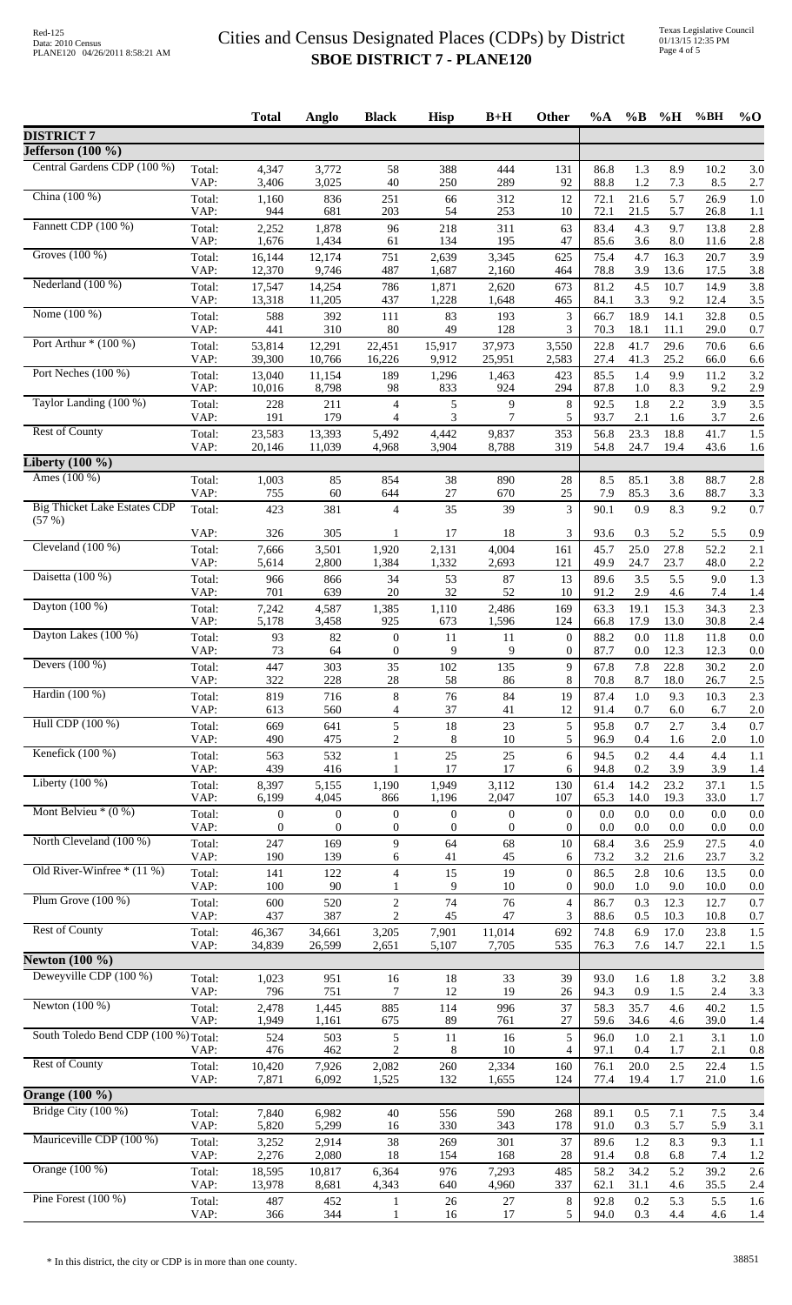|                                                     |                | <b>Total</b>                         | Anglo                                | <b>Black</b>                         | <b>Hisp</b>                          | $B+H$                                | Other                            | %A           | $\%$ B       | %H           | $\%BH$       | $\%$ O     |
|-----------------------------------------------------|----------------|--------------------------------------|--------------------------------------|--------------------------------------|--------------------------------------|--------------------------------------|----------------------------------|--------------|--------------|--------------|--------------|------------|
| <b>DISTRICT 7</b>                                   |                |                                      |                                      |                                      |                                      |                                      |                                  |              |              |              |              |            |
| Jefferson $(100 \%)$<br>Central Gardens CDP (100 %) |                |                                      |                                      |                                      |                                      |                                      |                                  |              |              |              |              |            |
|                                                     | Total:<br>VAP: | 4,347<br>3,406                       | 3,772<br>3,025                       | 58<br>40                             | 388<br>250                           | 444<br>289                           | 131<br>92                        | 86.8<br>88.8 | 1.3<br>1.2   | 8.9<br>7.3   | 10.2<br>8.5  | 3.0<br>2.7 |
| China (100 %)                                       | Total:<br>VAP: | 1,160<br>944                         | 836<br>681                           | 251<br>203                           | 66<br>54                             | 312<br>253                           | 12<br>10                         | 72.1<br>72.1 | 21.6<br>21.5 | 5.7<br>5.7   | 26.9<br>26.8 | 1.0<br>1.1 |
| Fannett CDP (100 %)                                 | Total:         | 2,252                                | 1,878                                | 96                                   | 218                                  | 311                                  | 63                               | 83.4         | 4.3          | 9.7          | 13.8         | 2.8        |
| Groves (100 %)                                      | VAP:<br>Total: | 1,676<br>16,144                      | 1,434<br>12,174                      | 61<br>751                            | 134<br>2,639                         | 195<br>3,345                         | 47<br>625                        | 85.6<br>75.4 | 3.6<br>4.7   | 8.0<br>16.3  | 11.6<br>20.7 | 2.8<br>3.9 |
|                                                     | VAP:           | 12,370                               | 9,746                                | 487                                  | 1,687                                | 2,160                                | 464                              | 78.8         | 3.9          | 13.6         | 17.5         | 3.8        |
| Nederland (100 %)                                   | Total:<br>VAP: | 17,547<br>13,318                     | 14,254<br>11,205                     | 786<br>437                           | 1,871<br>1,228                       | 2,620<br>1,648                       | 673<br>465                       | 81.2<br>84.1 | 4.5<br>3.3   | 10.7<br>9.2  | 14.9<br>12.4 | 3.8<br>3.5 |
| Nome (100 %)                                        | Total:         | 588                                  | 392                                  | 111                                  | 83                                   | 193                                  | 3                                | 66.7         | 18.9         | 14.1         | 32.8         | 0.5        |
| Port Arthur $*(100\%)$                              | VAP:<br>Total: | 441<br>53,814                        | 310<br>12,291                        | 80<br>22,451                         | 49<br>15,917                         | 128<br>37,973                        | 3<br>3,550                       | 70.3<br>22.8 | 18.1<br>41.7 | 11.1<br>29.6 | 29.0<br>70.6 | 0.7<br>6.6 |
|                                                     | VAP:           | 39,300                               | 10,766                               | 16,226                               | 9,912                                | 25,951                               | 2,583                            | 27.4         | 41.3         | 25.2         | 66.0         | 6.6        |
| Port Neches (100 %)                                 | Total:<br>VAP: | 13,040<br>10,016                     | 11,154<br>8,798                      | 189<br>98                            | 1,296<br>833                         | 1,463<br>924                         | 423<br>294                       | 85.5<br>87.8 | 1.4<br>1.0   | 9.9<br>8.3   | 11.2<br>9.2  | 3.2<br>2.9 |
| Taylor Landing (100 %)                              | Total:         | 228                                  | 211                                  | $\overline{4}$                       | $\mathfrak s$                        | 9                                    | 8                                | 92.5         | 1.8          | 2.2          | 3.9          | 3.5        |
| <b>Rest of County</b>                               | VAP:<br>Total: | 191<br>23,583                        | 179<br>13,393                        | $\overline{4}$<br>5,492              | 3<br>4,442                           | 7<br>9,837                           | 5<br>353                         | 93.7<br>56.8 | 2.1<br>23.3  | 1.6<br>18.8  | 3.7<br>41.7  | 2.6<br>1.5 |
|                                                     | VAP:           | 20,146                               | 11,039                               | 4,968                                | 3,904                                | 8,788                                | 319                              | 54.8         | 24.7         | 19.4         | 43.6         | 1.6        |
| Liberty $(100 \%)$<br>Ames (100 %)                  |                |                                      |                                      |                                      |                                      |                                      |                                  |              |              |              |              |            |
|                                                     | Total:<br>VAP: | 1,003<br>755                         | 85<br>60                             | 854<br>644                           | 38<br>27                             | 890<br>670                           | 28<br>25                         | 8.5<br>7.9   | 85.1<br>85.3 | 3.8<br>3.6   | 88.7<br>88.7 | 2.8<br>3.3 |
| <b>Big Thicket Lake Estates CDP</b><br>(57%)        | Total:         | 423                                  | 381                                  | $\overline{4}$                       | 35                                   | 39                                   | 3                                | 90.1         | 0.9          | 8.3          | 9.2          | 0.7        |
|                                                     | VAP:           | 326                                  | 305                                  | -1                                   | 17                                   | 18                                   | 3                                | 93.6         | 0.3          | 5.2          | 5.5          | 0.9        |
| Cleveland (100 %)                                   | Total:<br>VAP: | 7,666<br>5,614                       | 3,501<br>2,800                       | 1,920<br>1,384                       | 2,131<br>1,332                       | 4,004<br>2,693                       | 161<br>121                       | 45.7<br>49.9 | 25.0<br>24.7 | 27.8<br>23.7 | 52.2<br>48.0 | 2.1<br>2.2 |
| Daisetta (100 %)                                    | Total:         | 966                                  | 866                                  | 34                                   | 53                                   | 87                                   | 13                               | 89.6         | 3.5          | 5.5          | 9.0          | 1.3        |
| Dayton (100 %)                                      | VAP:<br>Total: | 701<br>7,242                         | 639<br>4,587                         | 20<br>1,385                          | 32<br>1,110                          | 52<br>2,486                          | 10<br>169                        | 91.2<br>63.3 | 2.9<br>19.1  | 4.6<br>15.3  | 7.4<br>34.3  | 1.4<br>2.3 |
| Dayton Lakes (100 %)                                | VAP:           | 5,178                                | 3,458                                | 925                                  | 673                                  | 1,596                                | 124                              | 66.8         | 17.9         | 13.0         | 30.8         | 2.4        |
|                                                     | Total:<br>VAP: | 93<br>73                             | 82<br>64                             | $\theta$<br>$\overline{0}$           | 11<br>9                              | 11<br>9                              | $\overline{0}$<br>$\overline{0}$ | 88.2<br>87.7 | 0.0<br>0.0   | 11.8<br>12.3 | 11.8<br>12.3 | 0.0<br>0.0 |
| Devers $(100\%)$                                    | Total:         | 447                                  | 303                                  | 35                                   | 102                                  | 135                                  | 9                                | 67.8         | 7.8          | 22.8         | 30.2         | 2.0        |
| Hardin (100 %)                                      | VAP:<br>Total: | 322<br>819                           | 228<br>716                           | 28<br>8                              | 58<br>76                             | 86<br>84                             | 8<br>19                          | 70.8<br>87.4 | 8.7<br>1.0   | 18.0<br>9.3  | 26.7<br>10.3 | 2.5<br>2.3 |
|                                                     | VAP:           | 613                                  | 560                                  | 4                                    | 37                                   | 41                                   | 12                               | 91.4         | 0.7          | 6.0          | 6.7          | 2.0        |
| Hull CDP (100 %)                                    | Total:<br>VAP: | 669<br>490                           | 641<br>475                           | 5<br>$\overline{c}$                  | 18<br>8                              | 23<br>10                             | 5<br>5                           | 95.8<br>96.9 | 0.7<br>0.4   | 2.7<br>1.6   | 3.4<br>2.0   | 0.7<br>1.0 |
| Kenefick $(100\%)$                                  | Total:         | 563                                  | 532                                  | 1                                    | 25                                   | 25                                   | 6                                | 94.5         | 0.2          | 4.4          | 4.4          | 1.1        |
| Liberty $(100\%)$                                   | VAP:<br>Total: | 439<br>8,397                         | 416<br>5,155                         | $\mathbf{1}$<br>1,190                | 17<br>1,949                          | 17<br>3,112                          | 6<br>130                         | 94.8<br>61.4 | 0.2<br>14.2  | 3.9<br>23.2  | 3.9<br>37.1  | 1.4<br>1.5 |
| Mont Belvieu $*(0\%)$                               | VAP:           | 6,199                                | 4,045                                | 866                                  | 1,196                                | 2,047                                | 107                              | 65.3         | 14.0         | 19.3         | 33.0         | 1.7        |
|                                                     | Total:<br>VAP: | $\boldsymbol{0}$<br>$\boldsymbol{0}$ | $\boldsymbol{0}$<br>$\boldsymbol{0}$ | $\boldsymbol{0}$<br>$\boldsymbol{0}$ | $\boldsymbol{0}$<br>$\boldsymbol{0}$ | $\boldsymbol{0}$<br>$\boldsymbol{0}$ | $\overline{0}$<br>$\overline{0}$ | 0.0<br>0.0   | 0.0<br>0.0   | 0.0<br>0.0   | 0.0<br>0.0   | 0.0<br>0.0 |
| North Cleveland (100 %)                             | Total:<br>VAP: | 247<br>190                           | 169<br>139                           | 9                                    | 64                                   | 68<br>45                             | 10                               | 68.4<br>73.2 | 3.6          | 25.9         | 27.5         | 4.0        |
| Old River-Winfree * (11 %)                          | Total:         | 141                                  | 122                                  | 6<br>$\overline{4}$                  | 41<br>15                             | 19                                   | 6<br>$\boldsymbol{0}$            | 86.5         | 3.2<br>2.8   | 21.6<br>10.6 | 23.7<br>13.5 | 3.2<br>0.0 |
| Plum Grove $(100\%)$                                | VAP:           | 100                                  | 90                                   | 1                                    | 9                                    | 10                                   | $\overline{0}$                   | 90.0         | 1.0          | 9.0          | 10.0         | 0.0        |
|                                                     | Total:<br>VAP: | 600<br>437                           | 520<br>387                           | $\overline{2}$<br>$\overline{c}$     | 74<br>45                             | 76<br>47                             | $\overline{4}$<br>3              | 86.7<br>88.6 | 0.3<br>0.5   | 12.3<br>10.3 | 12.7<br>10.8 | 0.7<br>0.7 |
| <b>Rest of County</b>                               | Total:<br>VAP: | 46,367<br>34,839                     | 34,661<br>26,599                     | 3,205<br>2,651                       | 7,901<br>5,107                       | 11,014<br>7,705                      | 692<br>535                       | 74.8<br>76.3 | 6.9<br>7.6   | 17.0<br>14.7 | 23.8<br>22.1 | 1.5<br>1.5 |
| Newton $(100\%$                                     |                |                                      |                                      |                                      |                                      |                                      |                                  |              |              |              |              |            |
| Deweyville CDP (100 %)                              | Total:         | 1,023                                | 951                                  | 16                                   | 18                                   | 33                                   | 39                               | 93.0         | 1.6          | 1.8          | 3.2          | 3.8        |
| Newton $(100\%)$                                    | VAP:<br>Total: | 796<br>2,478                         | 751<br>1,445                         | 7<br>885                             | 12<br>114                            | 19<br>996                            | 26<br>37                         | 94.3<br>58.3 | 0.9<br>35.7  | 1.5<br>4.6   | 2.4<br>40.2  | 3.3<br>1.5 |
|                                                     | VAP:           | 1,949                                | 1,161                                | 675                                  | 89                                   | 761                                  | 27                               | 59.6         | 34.6         | 4.6          | 39.0         | 1.4        |
| South Toledo Bend CDP (100 %) Total:                | VAP:           | 524<br>476                           | 503<br>462                           | 5<br>$\overline{2}$                  | 11<br>8                              | 16<br>10                             | 5<br>$\overline{4}$              | 96.0<br>97.1 | 1.0<br>0.4   | 2.1<br>1.7   | 3.1<br>2.1   | 1.0<br>0.8 |
| <b>Rest of County</b>                               | Total:         | 10,420                               | 7,926                                | 2,082                                | 260                                  | 2,334                                | 160                              | 76.1         | 20.0         | 2.5          | 22.4         | 1.5        |
| <b>Orange</b> (100 %)                               | VAP:           | 7,871                                | 6,092                                | 1,525                                | 132                                  | 1,655                                | 124                              | 77.4         | 19.4         | 1.7          | 21.0         | 1.6        |
| Bridge City (100 %)                                 | Total:         | 7,840                                | 6,982                                | 40                                   | 556                                  | 590                                  | 268                              | 89.1         | 0.5          | 7.1          | 7.5          | 3.4        |
| Mauriceville CDP (100 %)                            | VAP:<br>Total: | 5,820                                | 5,299<br>2,914                       | 16<br>38                             | 330                                  | 343<br>301                           | 178<br>37                        | 91.0<br>89.6 | 0.3<br>1.2   | 5.7<br>8.3   | 5.9<br>9.3   | 3.1        |
|                                                     | VAP:           | 3,252<br>2,276                       | 2,080                                | 18                                   | 269<br>154                           | 168                                  | 28                               | 91.4         | 0.8          | 6.8          | 7.4          | 1.1<br>1.2 |
| Orange (100 %)                                      | Total:<br>VAP: | 18,595<br>13,978                     | 10,817<br>8,681                      | 6,364<br>4,343                       | 976<br>640                           | 7,293<br>4,960                       | 485<br>337                       | 58.2<br>62.1 | 34.2<br>31.1 | 5.2<br>4.6   | 39.2<br>35.5 | 2.6<br>2.4 |
| Pine Forest $(100\%)$                               | Total:         | 487                                  | 452                                  | 1                                    | 26                                   | 27                                   | 8                                | 92.8         | 0.2          | 5.3          | 5.5          | 1.6        |
|                                                     | VAP:           | 366                                  | 344                                  |                                      | 16                                   | 17                                   | 5                                | 94.0         | 0.3          | 4.4          | 4.6          | 1.4        |